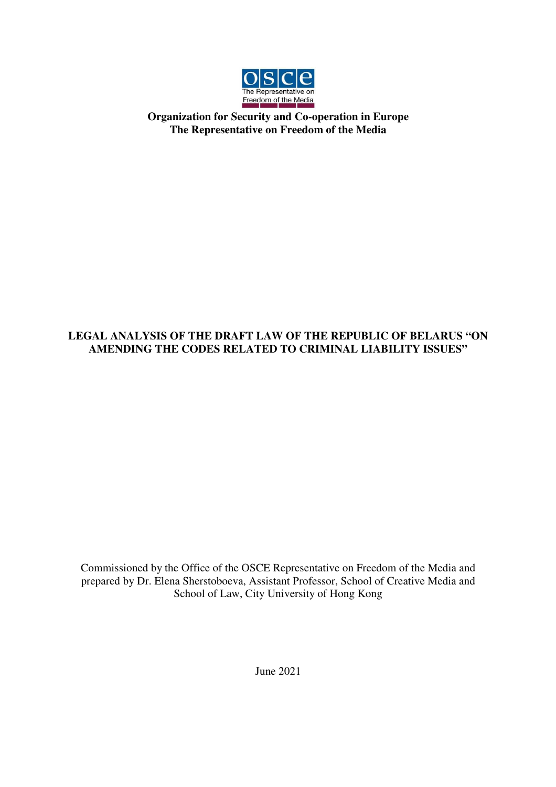

## **Organization for Security and Co-operation in Europe The Representative on Freedom of the Media**

# **LEGAL ANALYSIS OF THE DRAFT LAW OF THE REPUBLIC OF BELARUS "ON AMENDING THE CODES RELATED TO CRIMINAL LIABILITY ISSUES"**

Commissioned by the Office of the OSCE Representative on Freedom of the Media and prepared by Dr. Elena Sherstoboeva, Assistant Professor, School of Creative Media and School of Law, City University of Hong Kong

June 2021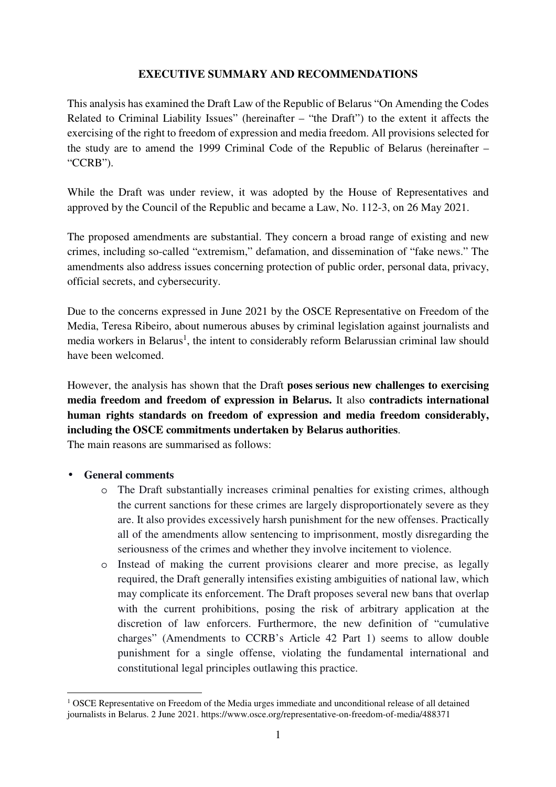### **EXECUTIVE SUMMARY AND RECOMMENDATIONS**

This analysis has examined the Draft Law of the Republic of Belarus "On Amending the Codes Related to Criminal Liability Issues" (hereinafter – "the Draft") to the extent it affects the exercising of the right to freedom of expression and media freedom. All provisions selected for the study are to amend the 1999 Criminal Code of the Republic of Belarus (hereinafter – "CCRB").

While the Draft was under review, it was adopted by the House of Representatives and approved by the Council of the Republic and became a Law, No. 112-3, on 26 May 2021.

The proposed amendments are substantial. They concern a broad range of existing and new crimes, including so-called "extremism," defamation, and dissemination of "fake news." The amendments also address issues concerning protection of public order, personal data, privacy, official secrets, and cybersecurity.

Due to the concerns expressed in June 2021 by the OSCE Representative on Freedom of the Media, Teresa Ribeiro, about numerous abuses by criminal legislation against journalists and media workers in Belarus<sup>1</sup>, the intent to considerably reform Belarussian criminal law should have been welcomed.

However, the analysis has shown that the Draft **poses serious new challenges to exercising media freedom and freedom of expression in Belarus.** It also **contradicts international human rights standards on freedom of expression and media freedom considerably, including the OSCE commitments undertaken by Belarus authorities**.

The main reasons are summarised as follows:

### • **General comments**

- o The Draft substantially increases criminal penalties for existing crimes, although the current sanctions for these crimes are largely disproportionately severe as they are. It also provides excessively harsh punishment for the new offenses. Practically all of the amendments allow sentencing to imprisonment, mostly disregarding the seriousness of the crimes and whether they involve incitement to violence.
- o Instead of making the current provisions clearer and more precise, as legally required, the Draft generally intensifies existing ambiguities of national law, which may complicate its enforcement. The Draft proposes several new bans that overlap with the current prohibitions, posing the risk of arbitrary application at the discretion of law enforcers. Furthermore, the new definition of "cumulative charges" (Amendments to CCRB's Article 42 Part 1) seems to allow double punishment for a single offense, violating the fundamental international and constitutional legal principles outlawing this practice.

 $\overline{a}$ <sup>1</sup> OSCE Representative on Freedom of the Media urges immediate and unconditional release of all detained journalists in Belarus. 2 June 2021. https://www.osce.org/representative-on-freedom-of-media/488371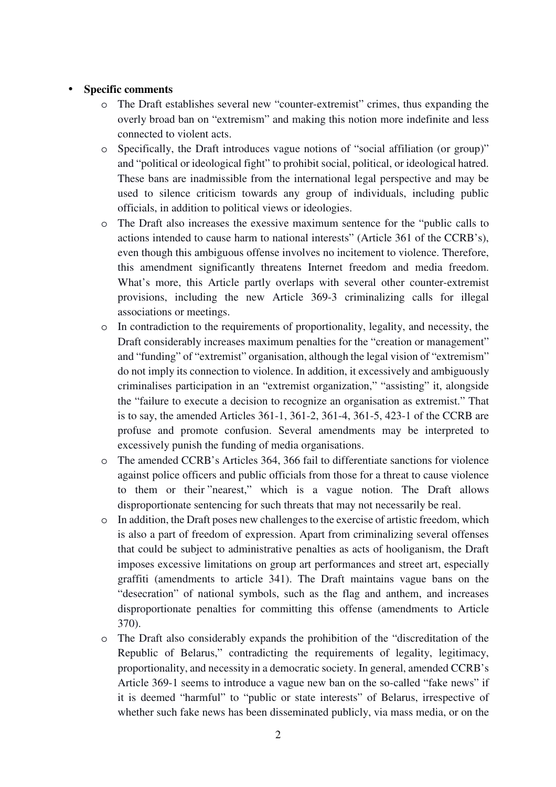#### • **Specific comments**

- o The Draft establishes several new "counter-extremist" crimes, thus expanding the overly broad ban on "extremism" and making this notion more indefinite and less connected to violent acts.
- o Specifically, the Draft introduces vague notions of "social affiliation (or group)" and "political or ideological fight" to prohibit social, political, or ideological hatred. These bans are inadmissible from the international legal perspective and may be used to silence criticism towards any group of individuals, including public officials, in addition to political views or ideologies.
- o The Draft also increases the exessive maximum sentence for the "public calls to actions intended to cause harm to national interests" (Article 361 of the CCRB's), even though this ambiguous offense involves no incitement to violence. Therefore, this amendment significantly threatens Internet freedom and media freedom. What's more, this Article partly overlaps with several other counter-extremist provisions, including the new Article 369-3 criminalizing calls for illegal associations or meetings.
- o In contradiction to the requirements of proportionality, legality, and necessity, the Draft considerably increases maximum penalties for the "creation or management" and "funding" of "extremist" organisation, although the legal vision of "extremism" do not imply its connection to violence. In addition, it excessively and ambiguously criminalises participation in an "extremist organization," "assisting" it, alongside the "failure to execute a decision to recognize an organisation as extremist." That is to say, the amended Articles 361-1, 361-2, 361-4, 361-5, 423-1 of the CCRB are profuse and promote confusion. Several amendments may be interpreted to excessively punish the funding of media organisations.
- o The amended CCRB's Articles 364, 366 fail to differentiate sanctions for violence against police officers and public officials from those for a threat to cause violence to them or their "nearest," which is a vague notion. The Draft allows disproportionate sentencing for such threats that may not necessarily be real.
- o In addition, the Draft poses new challenges to the exercise of artistic freedom, which is also a part of freedom of expression. Apart from criminalizing several offenses that could be subject to administrative penalties as acts of hooliganism, the Draft imposes excessive limitations on group art performances and street art, especially graffiti (amendments to article 341). The Draft maintains vague bans on the "desecration" of national symbols, such as the flag and anthem, and increases disproportionate penalties for committing this offense (amendments to Article 370).
- o The Draft also considerably expands the prohibition of the "discreditation of the Republic of Belarus," contradicting the requirements of legality, legitimacy, proportionality, and necessity in a democratic society. In general, amended CCRB's Article 369-1 seems to introduce a vague new ban on the so-called "fake news" if it is deemed "harmful" to "public or state interests" of Belarus, irrespective of whether such fake news has been disseminated publicly, via mass media, or on the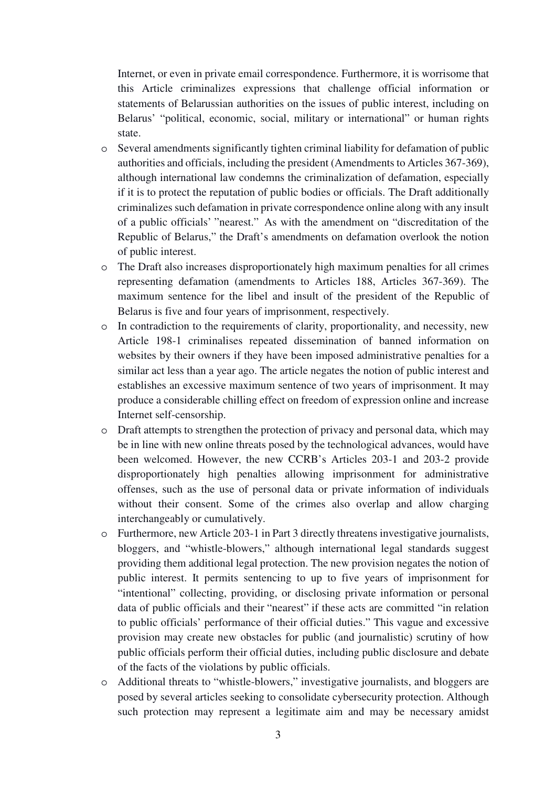Internet, or even in private email correspondence. Furthermore, it is worrisome that this Article criminalizes expressions that challenge official information or statements of Belarussian authorities on the issues of public interest, including on Belarus' "political, economic, social, military or international" or human rights state.

- o Several amendments significantly tighten criminal liability for defamation of public authorities and officials, including the president (Amendments to Articles 367-369), although international law condemns the criminalization of defamation, especially if it is to protect the reputation of public bodies or officials. The Draft additionally criminalizes such defamation in private correspondence online along with any insult of a public officials' "nearest." As with the amendment on "discreditation of the Republic of Belarus," the Draft's amendments on defamation overlook the notion of public interest.
- o The Draft also increases disproportionately high maximum penalties for all crimes representing defamation (amendments to Articles 188, Articles 367-369). The maximum sentence for the libel and insult of the president of the Republic of Belarus is five and four years of imprisonment, respectively.
- o In contradiction to the requirements of clarity, proportionality, and necessity, new Article 198-1 criminalises repeated dissemination of banned information on websites by their owners if they have been imposed administrative penalties for a similar act less than a year ago. The article negates the notion of public interest and establishes an excessive maximum sentence of two years of imprisonment. It may produce a considerable chilling effect on freedom of expression online and increase Internet self-censorship.
- o Draft attempts to strengthen the protection of privacy and personal data, which may be in line with new online threats posed by the technological advances, would have been welcomed. However, the new CCRB's Articles 203-1 and 203-2 provide disproportionately high penalties allowing imprisonment for administrative offenses, such as the use of personal data or private information of individuals without their consent. Some of the crimes also overlap and allow charging interchangeably or cumulatively.
- o Furthermore, new Article 203-1 in Part 3 directly threatens investigative journalists, bloggers, and "whistle-blowers," although international legal standards suggest providing them additional legal protection. The new provision negates the notion of public interest. It permits sentencing to up to five years of imprisonment for "intentional" collecting, providing, or disclosing private information or personal data of public officials and their "nearest" if these acts are committed "in relation to public officials' performance of their official duties." This vague and excessive provision may create new obstacles for public (and journalistic) scrutiny of how public officials perform their official duties, including public disclosure and debate of the facts of the violations by public officials.
- o Additional threats to "whistle-blowers," investigative journalists, and bloggers are posed by several articles seeking to consolidate cybersecurity protection. Although such protection may represent a legitimate aim and may be necessary amidst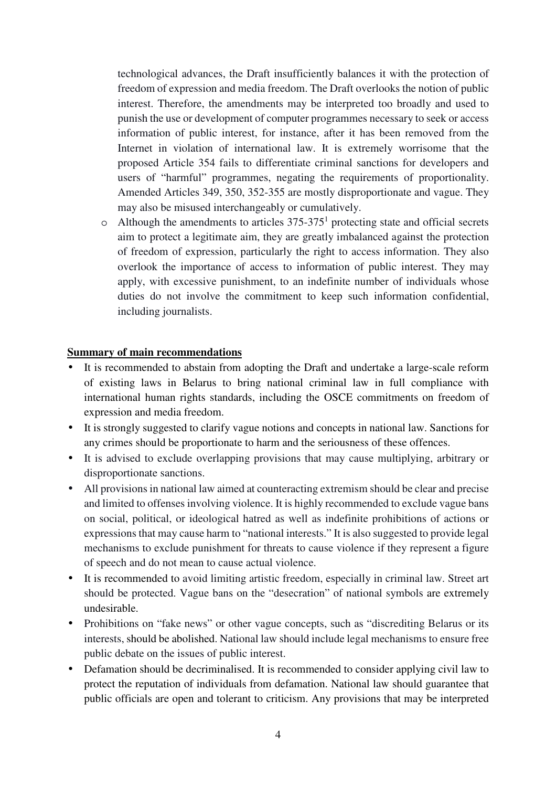technological advances, the Draft insufficiently balances it with the protection of freedom of expression and media freedom. The Draft overlooks the notion of public interest. Therefore, the amendments may be interpreted too broadly and used to punish the use or development of computer programmes necessary to seek or access information of public interest, for instance, after it has been removed from the Internet in violation of international law. It is extremely worrisome that the proposed Article 354 fails to differentiate criminal sanctions for developers and users of "harmful" programmes, negating the requirements of proportionality. Amended Articles 349, 350, 352-355 are mostly disproportionate and vague. They may also be misused interchangeably or cumulatively.

 $\circ$  Although the amendments to articles 375-375<sup>1</sup> protecting state and official secrets aim to protect a legitimate aim, they are greatly imbalanced against the protection of freedom of expression, particularly the right to access information. They also overlook the importance of access to information of public interest. They may apply, with excessive punishment, to an indefinite number of individuals whose duties do not involve the commitment to keep such information confidential, including journalists.

#### **Summary of main recommendations**

- It is recommended to abstain from adopting the Draft and undertake a large-scale reform of existing laws in Belarus to bring national criminal law in full compliance with international human rights standards, including the OSCE commitments on freedom of expression and media freedom.
- It is strongly suggested to clarify vague notions and concepts in national law. Sanctions for any crimes should be proportionate to harm and the seriousness of these offences.
- It is advised to exclude overlapping provisions that may cause multiplying, arbitrary or disproportionate sanctions.
- All provisions in national law aimed at counteracting extremism should be clear and precise and limited to offenses involving violence. It is highly recommended to exclude vague bans on social, political, or ideological hatred as well as indefinite prohibitions of actions or expressions that may cause harm to "national interests." It is also suggested to provide legal mechanisms to exclude punishment for threats to cause violence if they represent a figure of speech and do not mean to cause actual violence.
- It is recommended to avoid limiting artistic freedom, especially in criminal law. Street art should be protected. Vague bans on the "desecration" of national symbols are extremely undesirable.
- Prohibitions on "fake news" or other vague concepts, such as "discrediting Belarus or its interests, should be abolished. National law should include legal mechanisms to ensure free public debate on the issues of public interest.
- Defamation should be decriminalised. It is recommended to consider applying civil law to protect the reputation of individuals from defamation. National law should guarantee that public officials are open and tolerant to criticism. Any provisions that may be interpreted